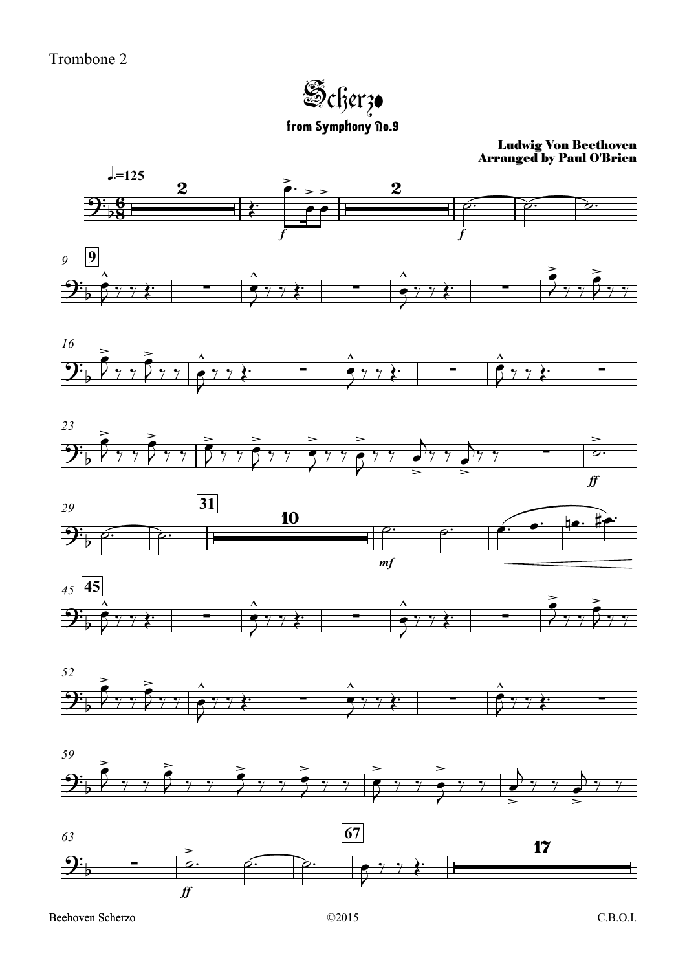Scherzo from Symphony no.9

## Ludwig Von Beethoven Arranged by Paul O'Brien